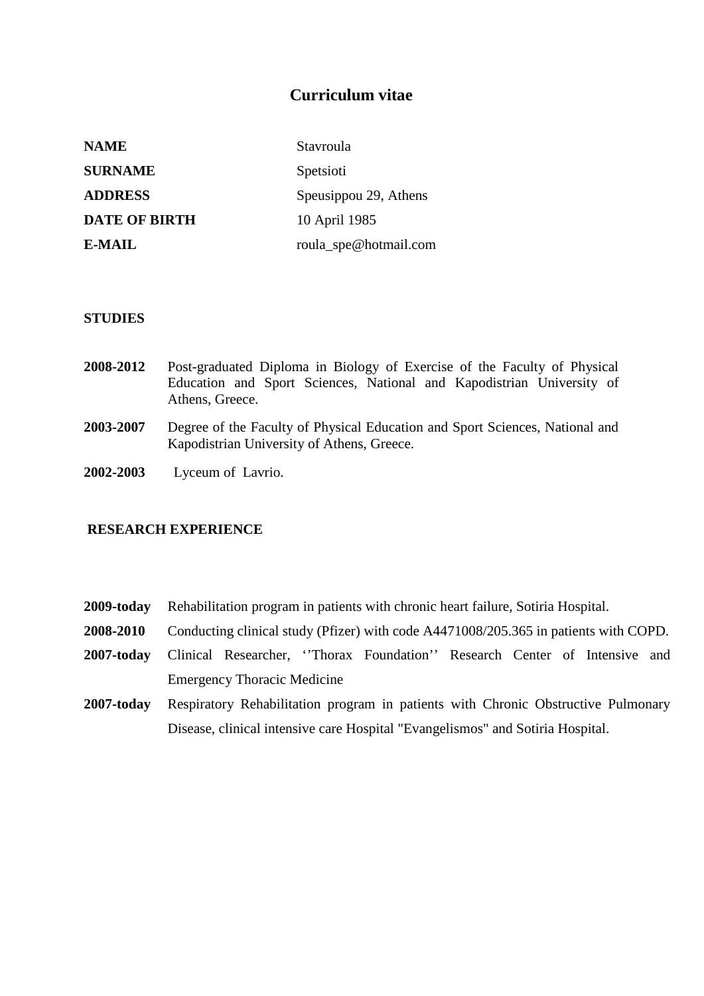# **Curriculum vitae**

| <b>NAME</b>          | Stavroula             |
|----------------------|-----------------------|
| <b>SURNAME</b>       | Spetsioti             |
| <b>ADDRESS</b>       | Speusippou 29, Athens |
| <b>DATE OF BIRTH</b> | 10 April 1985         |
| E-MAIL               | roula_spe@hotmail.com |

### **STUDIES**

- **2008-2012** Post-graduated Diploma in Biology of Exercise of the Faculty of Physical Education and Sport Sciences, National and Kapodistrian University of Athens, Greece.
- **2003-2007** Degree of the Faculty of Physical Education and Sport Sciences, National and Kapodistrian University of Athens, Greece.
- **2002-2003** Lyceum of Lavrio.

# **RESEARCH EXPERIENCE**

- **2009-today** Rehabilitation program in patients with chronic heart failure, Sotiria Hospital.
- **2008-2010** Conducting clinical study (Pfizer) with code A4471008/205.365 in patients with COPD.
- 2007-today Clinical Researcher, 'Thorax Foundation'' Research Center of Intensive and Emergency Thoracic Medicine
- **2007-today** Respiratory Rehabilitation program in patients with Chronic Obstructive Pulmonary Disease, clinical intensive care Hospital "Evangelismos" and Sotiria Hospital.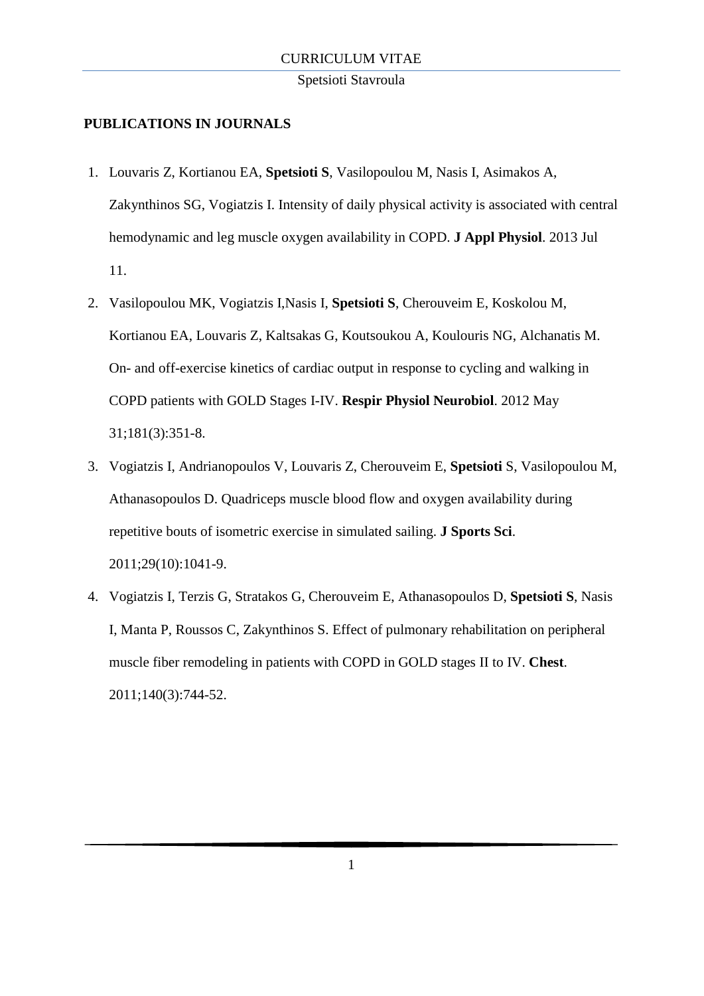#### Spetsioti Stavroula

## **PUBLICATIONS IN JOURNALS**

- 1. Louvaris Z, Kortianou EA, **Spetsioti S**, Vasilopoulou M, Nasis I, Asimakos A, Zakynthinos SG, Vogiatzis I. [Intensity of daily physical activity is associated with central](http://www.ncbi.nlm.nih.gov/pubmed/23845982)  [hemodynamic and leg muscle oxygen availability in COPD.](http://www.ncbi.nlm.nih.gov/pubmed/23845982) **J Appl Physiol**. 2013 Jul 11.
- 2. Vasilopoulou MK, Vogiatzis I,Nasis I, **Spetsioti S**, Cherouveim E, Koskolou M, Kortianou EA, Louvaris Z, Kaltsakas G, Koutsoukou A, Koulouris NG, Alchanatis M. On- [and off-exercise kinetics of cardiac output in response to cycling and walking in](http://www.ncbi.nlm.nih.gov/pubmed/22484002)  [COPD patients with GOLD Stages I-IV.](http://www.ncbi.nlm.nih.gov/pubmed/22484002) **Respir Physiol Neurobiol**. 2012 May 31;181(3):351-8.
- 3. Vogiatzis I, Andrianopoulos V, Louvaris Z, Cherouveim E, **Spetsioti** S, Vasilopoulou M, Athanasopoulos D. [Quadriceps muscle blood flow and oxygen availability during](http://www.ncbi.nlm.nih.gov/pubmed/21590577)  [repetitive bouts of isometric exercise in simulated sailing.](http://www.ncbi.nlm.nih.gov/pubmed/21590577) **J Sports Sci**. 2011;29(10):1041-9.
- 4. Vogiatzis I, Terzis G, Stratakos G, Cherouveim E, Athanasopoulos D, **Spetsioti S**, Nasis I, Manta P, Roussos C, Zakynthinos S. [Effect of pulmonary rehabilitation on peripheral](http://www.ncbi.nlm.nih.gov/pubmed/21493697)  [muscle fiber remodeling in patients with COPD in GOLD stages II to IV.](http://www.ncbi.nlm.nih.gov/pubmed/21493697) **Chest**. 2011;140(3):744-52.